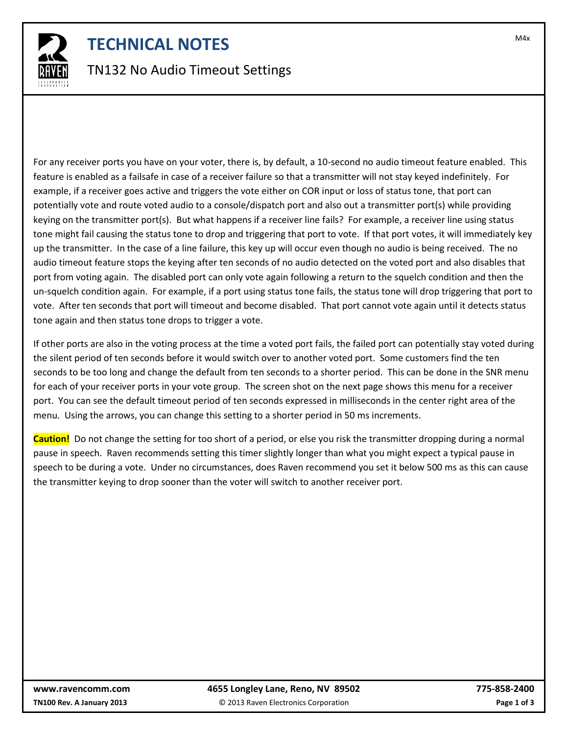

### **TECHNICAL NOTES TECHNICAL NOTES**

#### TN132 No Audio Timeout Settings

For any receiver ports you have on your voter, there is, by default, a 10-second no audio timeout feature enabled. This feature is enabled as a failsafe in case of a receiver failure so that a transmitter will not stay keyed indefinitely. For example, if a receiver goes active and triggers the vote either on COR input or loss of status tone, that port can potentially vote and route voted audio to a console/dispatch port and also out a transmitter port(s) while providing keying on the transmitter port(s). But what happens if a receiver line fails? For example, a receiver line using status tone might fail causing the status tone to drop and triggering that port to vote. If that port votes, it will immediately key up the transmitter. In the case of a line failure, this key up will occur even though no audio is being received. The no audio timeout feature stops the keying after ten seconds of no audio detected on the voted port and also disables that port from voting again. The disabled port can only vote again following a return to the squelch condition and then the un-squelch condition again. For example, if a port using status tone fails, the status tone will drop triggering that port to vote. After ten seconds that port will timeout and become disabled. That port cannot vote again until it detects status tone again and then status tone drops to trigger a vote.

If other ports are also in the voting process at the time a voted port fails, the failed port can potentially stay voted during the silent period of ten seconds before it would switch over to another voted port. Some customers find the ten seconds to be too long and change the default from ten seconds to a shorter period. This can be done in the SNR menu for each of your receiver ports in your vote group. The screen shot on the next page shows this menu for a receiver port. You can see the default timeout period of ten seconds expressed in milliseconds in the center right area of the menu. Using the arrows, you can change this setting to a shorter period in 50 ms increments.

**Caution!** Do not change the setting for too short of a period, or else you risk the transmitter dropping during a normal pause in speech. Raven recommends setting this timer slightly longer than what you might expect a typical pause in speech to be during a vote. Under no circumstances, does Raven recommend you set it below 500 ms as this can cause the transmitter keying to drop sooner than the voter will switch to another receiver port.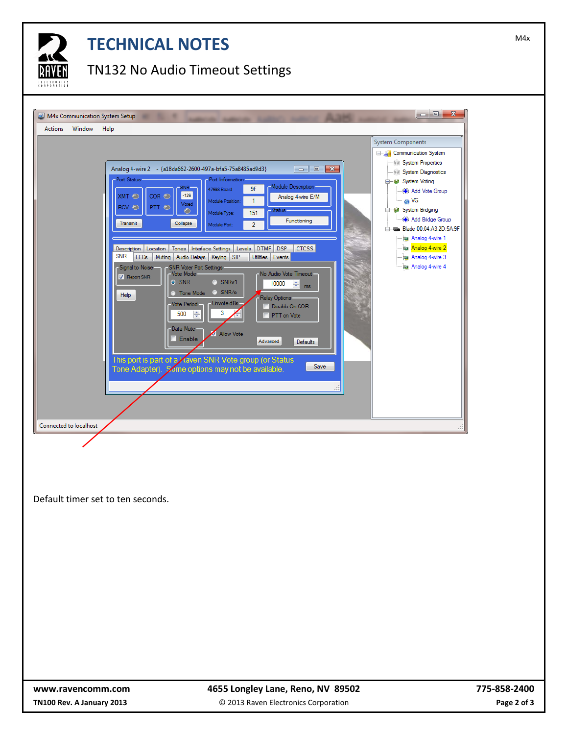

# **TECHNICAL NOTES TECHNICAL NOTES**

#### TN132 No Audio Timeout Settings